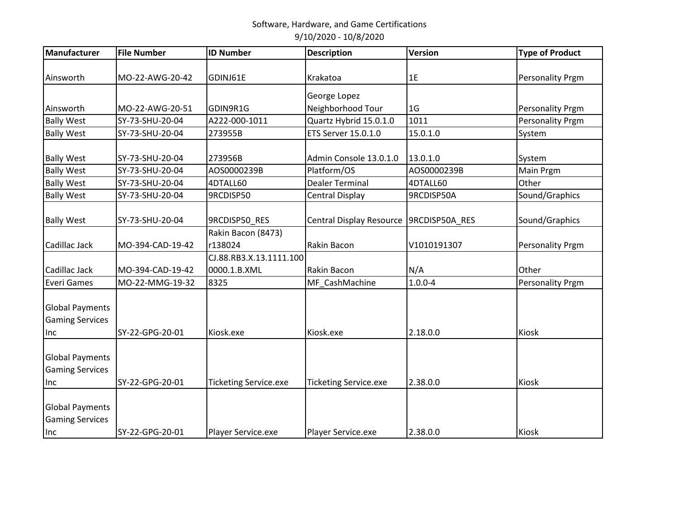| Manufacturer                                     | <b>File Number</b> | <b>ID Number</b>             | <b>Description</b>           | <b>Version</b> | <b>Type of Product</b> |
|--------------------------------------------------|--------------------|------------------------------|------------------------------|----------------|------------------------|
|                                                  |                    |                              |                              |                |                        |
| Ainsworth                                        | MO-22-AWG-20-42    | GDINJ61E                     | Krakatoa                     | 1E             | Personality Prgm       |
|                                                  |                    |                              | George Lopez                 |                |                        |
| Ainsworth                                        | MO-22-AWG-20-51    | GDIN9R1G                     | Neighborhood Tour            | 1 <sub>G</sub> | Personality Prgm       |
| <b>Bally West</b>                                | SY-73-SHU-20-04    | A222-000-1011                | Quartz Hybrid 15.0.1.0       | 1011           | Personality Prgm       |
| <b>Bally West</b>                                | SY-73-SHU-20-04    | 273955B                      | ETS Server 15.0.1.0          | 15.0.1.0       | System                 |
| <b>Bally West</b>                                | SY-73-SHU-20-04    | 273956B                      | Admin Console 13.0.1.0       | 13.0.1.0       | System                 |
| <b>Bally West</b>                                | SY-73-SHU-20-04    | AOS0000239B                  | Platform/OS                  | AOS0000239B    | Main Prgm              |
| <b>Bally West</b>                                | SY-73-SHU-20-04    | 4DTALL60                     | <b>Dealer Terminal</b>       | 4DTALL60       | Other                  |
| <b>Bally West</b>                                | SY-73-SHU-20-04    | 9RCDISP50                    | <b>Central Display</b>       | 9RCDISP50A     | Sound/Graphics         |
| <b>Bally West</b>                                | SY-73-SHU-20-04    | 9RCDISP50_RES                | Central Display Resource     | 9RCDISP50A_RES | Sound/Graphics         |
|                                                  |                    | Rakin Bacon (8473)           |                              |                |                        |
| Cadillac Jack                                    | MO-394-CAD-19-42   | r138024                      | Rakin Bacon                  | V1010191307    | Personality Prgm       |
|                                                  |                    | CJ.88.RB3.X.13.1111.100      |                              |                |                        |
| Cadillac Jack                                    | MO-394-CAD-19-42   | 0000.1.B.XML                 | Rakin Bacon                  | N/A            | Other                  |
| <b>Everi Games</b>                               | MO-22-MMG-19-32    | 8325                         | MF CashMachine               | $1.0.0 - 4$    | Personality Prgm       |
| <b>Global Payments</b><br><b>Gaming Services</b> |                    |                              |                              |                |                        |
| Inc                                              | SY-22-GPG-20-01    | Kiosk.exe                    | Kiosk.exe                    | 2.18.0.0       | Kiosk                  |
| <b>Global Payments</b><br><b>Gaming Services</b> |                    |                              |                              |                |                        |
| Inc                                              | SY-22-GPG-20-01    | <b>Ticketing Service.exe</b> | <b>Ticketing Service.exe</b> | 2.38.0.0       | Kiosk                  |
| <b>Global Payments</b><br><b>Gaming Services</b> |                    |                              |                              |                |                        |
| Inc                                              | SY-22-GPG-20-01    | Player Service.exe           | Player Service.exe           | 2.38.0.0       | Kiosk                  |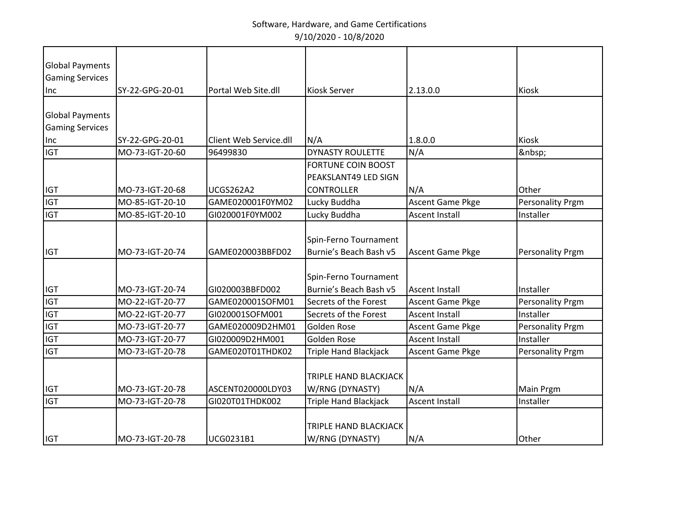| <b>Global Payments</b> |                 |                        |                              |                         |                         |
|------------------------|-----------------|------------------------|------------------------------|-------------------------|-------------------------|
| <b>Gaming Services</b> |                 |                        |                              |                         |                         |
| Inc                    | SY-22-GPG-20-01 | Portal Web Site.dll    | <b>Kiosk Server</b>          | 2.13.0.0                | Kiosk                   |
|                        |                 |                        |                              |                         |                         |
| <b>Global Payments</b> |                 |                        |                              |                         |                         |
| <b>Gaming Services</b> |                 |                        |                              |                         |                         |
| Inc                    | SY-22-GPG-20-01 | Client Web Service.dll | N/A                          | 1.8.0.0                 | Kiosk                   |
| <b>IGT</b>             | MO-73-IGT-20-60 | 96499830               | <b>DYNASTY ROULETTE</b>      | N/A                     |                         |
|                        |                 |                        | <b>FORTUNE COIN BOOST</b>    |                         |                         |
|                        |                 |                        | PEAKSLANT49 LED SIGN         |                         |                         |
| <b>IGT</b>             | MO-73-IGT-20-68 | <b>UCGS262A2</b>       | <b>CONTROLLER</b>            | N/A                     | Other                   |
| <b>IGT</b>             | MO-85-IGT-20-10 | GAME020001F0YM02       | Lucky Buddha                 | <b>Ascent Game Pkge</b> | Personality Prgm        |
| <b>IGT</b>             | MO-85-IGT-20-10 | GI020001F0YM002        | Lucky Buddha                 | <b>Ascent Install</b>   | Installer               |
|                        |                 |                        |                              |                         |                         |
|                        |                 |                        | Spin-Ferno Tournament        |                         |                         |
| <b>IGT</b>             | MO-73-IGT-20-74 | GAME020003BBFD02       | Burnie's Beach Bash v5       | <b>Ascent Game Pkge</b> | <b>Personality Prgm</b> |
|                        |                 |                        |                              |                         |                         |
|                        |                 |                        | Spin-Ferno Tournament        |                         |                         |
| <b>IGT</b>             | MO-73-IGT-20-74 | GI020003BBFD002        | Burnie's Beach Bash v5       | <b>Ascent Install</b>   | Installer               |
| <b>IGT</b>             | MO-22-IGT-20-77 | GAME020001SOFM01       | Secrets of the Forest        | <b>Ascent Game Pkge</b> | <b>Personality Prgm</b> |
| <b>IGT</b>             | MO-22-IGT-20-77 | GI020001SOFM001        | Secrets of the Forest        | <b>Ascent Install</b>   | Installer               |
| <b>IGT</b>             | MO-73-IGT-20-77 | GAME020009D2HM01       | Golden Rose                  | <b>Ascent Game Pkge</b> | <b>Personality Prgm</b> |
| <b>IGT</b>             | MO-73-IGT-20-77 | GI020009D2HM001        | Golden Rose                  | <b>Ascent Install</b>   | Installer               |
| <b>IGT</b>             | MO-73-IGT-20-78 | GAME020T01THDK02       | <b>Triple Hand Blackjack</b> | <b>Ascent Game Pkge</b> | <b>Personality Prgm</b> |
|                        |                 |                        |                              |                         |                         |
|                        |                 |                        | <b>TRIPLE HAND BLACKJACK</b> |                         |                         |
| <b>IGT</b>             | MO-73-IGT-20-78 | ASCENT020000LDY03      | W/RNG (DYNASTY)              | N/A                     | Main Prgm               |
| <b>IGT</b>             | MO-73-IGT-20-78 | GI020T01THDK002        | <b>Triple Hand Blackjack</b> | <b>Ascent Install</b>   | Installer               |
|                        |                 |                        |                              |                         |                         |
|                        |                 |                        | TRIPLE HAND BLACKJACK        |                         |                         |
| <b>IGT</b>             | MO-73-IGT-20-78 | <b>UCG0231B1</b>       | W/RNG (DYNASTY)              | N/A                     | Other                   |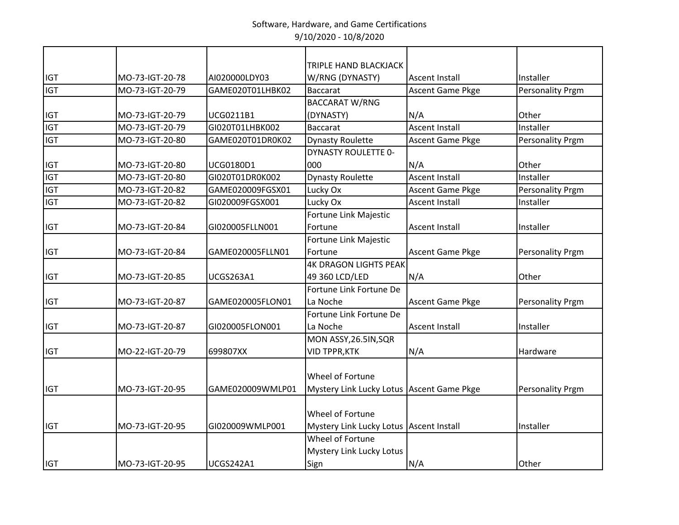|            |                 |                  | <b>TRIPLE HAND BLACKJACK</b>              |                         |                         |
|------------|-----------------|------------------|-------------------------------------------|-------------------------|-------------------------|
| <b>IGT</b> | MO-73-IGT-20-78 | AI020000LDY03    | W/RNG (DYNASTY)                           | <b>Ascent Install</b>   | Installer               |
| <b>IGT</b> | MO-73-IGT-20-79 | GAME020T01LHBK02 | <b>Baccarat</b>                           | <b>Ascent Game Pkge</b> | <b>Personality Prgm</b> |
|            |                 |                  | <b>BACCARAT W/RNG</b>                     |                         |                         |
| <b>IGT</b> | MO-73-IGT-20-79 | UCG0211B1        | (DYNASTY)                                 | N/A                     | Other                   |
| <b>IGT</b> | MO-73-IGT-20-79 | GI020T01LHBK002  | <b>Baccarat</b>                           | <b>Ascent Install</b>   | Installer               |
| <b>IGT</b> | MO-73-IGT-20-80 | GAME020T01DR0K02 | <b>Dynasty Roulette</b>                   | <b>Ascent Game Pkge</b> | <b>Personality Prgm</b> |
|            |                 |                  | <b>DYNASTY ROULETTE 0-</b>                |                         |                         |
| <b>IGT</b> | MO-73-IGT-20-80 | UCG0180D1        | 000                                       | N/A                     | Other                   |
| <b>IGT</b> | MO-73-IGT-20-80 | GI020T01DR0K002  | <b>Dynasty Roulette</b>                   | Ascent Install          | Installer               |
| <b>IGT</b> | MO-73-IGT-20-82 | GAME020009FGSX01 | Lucky Ox                                  | Ascent Game Pkge        | <b>Personality Prgm</b> |
| <b>IGT</b> | MO-73-IGT-20-82 | GI020009FGSX001  | Lucky Ox                                  | <b>Ascent Install</b>   | Installer               |
|            |                 |                  | Fortune Link Majestic                     |                         |                         |
| <b>IGT</b> | MO-73-IGT-20-84 | GI020005FLLN001  | Fortune                                   | <b>Ascent Install</b>   | Installer               |
|            |                 |                  | Fortune Link Majestic                     |                         |                         |
| <b>IGT</b> | MO-73-IGT-20-84 | GAME020005FLLN01 | Fortune                                   | <b>Ascent Game Pkge</b> | <b>Personality Prgm</b> |
|            |                 |                  | <b>4K DRAGON LIGHTS PEAK</b>              |                         |                         |
| <b>IGT</b> | MO-73-IGT-20-85 | <b>UCGS263A1</b> | 49 360 LCD/LED                            | N/A                     | Other                   |
|            |                 |                  | Fortune Link Fortune De                   |                         |                         |
| <b>IGT</b> | MO-73-IGT-20-87 | GAME020005FLON01 | La Noche                                  | <b>Ascent Game Pkge</b> | <b>Personality Prgm</b> |
|            |                 |                  | Fortune Link Fortune De                   |                         |                         |
| <b>IGT</b> | MO-73-IGT-20-87 | GI020005FLON001  | La Noche                                  | <b>Ascent Install</b>   | Installer               |
|            |                 |                  | MON ASSY, 26.5IN, SQR                     |                         |                         |
| <b>IGT</b> | MO-22-IGT-20-79 | 699807XX         | <b>VID TPPR, KTK</b>                      | N/A                     | Hardware                |
|            |                 |                  |                                           |                         |                         |
|            |                 |                  | Wheel of Fortune                          |                         |                         |
| <b>IGT</b> | MO-73-IGT-20-95 | GAME020009WMLP01 | Mystery Link Lucky Lotus Ascent Game Pkge |                         | <b>Personality Prgm</b> |
|            |                 |                  |                                           |                         |                         |
|            |                 |                  | Wheel of Fortune                          |                         |                         |
| <b>IGT</b> | MO-73-IGT-20-95 | GI020009WMLP001  | Mystery Link Lucky Lotus Ascent Install   |                         | Installer               |
|            |                 |                  | Wheel of Fortune                          |                         |                         |
|            |                 |                  | <b>Mystery Link Lucky Lotus</b>           |                         |                         |
| <b>IGT</b> | MO-73-IGT-20-95 | <b>UCGS242A1</b> | Sign                                      | N/A                     | Other                   |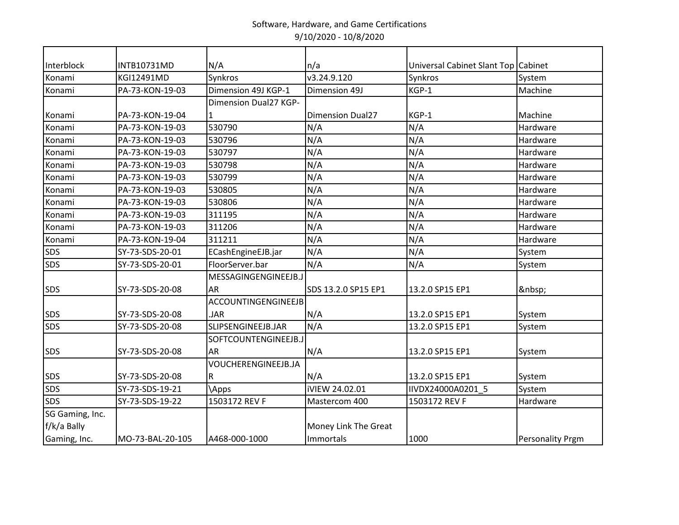| Interblock      | <b>INTB10731MD</b> | N/A                   | n/a                     | Universal Cabinet Slant Top Cabinet |                         |
|-----------------|--------------------|-----------------------|-------------------------|-------------------------------------|-------------------------|
| Konami          | KGI12491MD         | Synkros               | v3.24.9.120             | Synkros                             | System                  |
| Konami          | PA-73-KON-19-03    | Dimension 49J KGP-1   | Dimension 49J           | KGP-1                               | Machine                 |
|                 |                    | Dimension Dual27 KGP- |                         |                                     |                         |
| Konami          | PA-73-KON-19-04    | 1                     | <b>Dimension Dual27</b> | KGP-1                               | Machine                 |
| Konami          | PA-73-KON-19-03    | 530790                | N/A                     | N/A                                 | Hardware                |
| Konami          | PA-73-KON-19-03    | 530796                | N/A                     | N/A                                 | Hardware                |
| Konami          | PA-73-KON-19-03    | 530797                | N/A                     | N/A                                 | Hardware                |
| Konami          | PA-73-KON-19-03    | 530798                | N/A                     | N/A                                 | Hardware                |
| Konami          | PA-73-KON-19-03    | 530799                | N/A                     | N/A                                 | Hardware                |
| Konami          | PA-73-KON-19-03    | 530805                | N/A                     | N/A                                 | Hardware                |
| Konami          | PA-73-KON-19-03    | 530806                | N/A                     | N/A                                 | Hardware                |
| Konami          | PA-73-KON-19-03    | 311195                | N/A                     | N/A                                 | Hardware                |
| Konami          | PA-73-KON-19-03    | 311206                | N/A                     | N/A                                 | Hardware                |
| Konami          | PA-73-KON-19-04    | 311211                | N/A                     | N/A                                 | Hardware                |
| SDS             | SY-73-SDS-20-01    | ECashEngineEJB.jar    | N/A                     | N/A                                 | System                  |
| SDS             | SY-73-SDS-20-01    | FloorServer.bar       | N/A                     | N/A                                 | System                  |
|                 |                    | MESSAGINGENGINEEJB.J  |                         |                                     |                         |
| SDS             | SY-73-SDS-20-08    | <b>AR</b>             | SDS 13.2.0 SP15 EP1     | 13.2.0 SP15 EP1                     |                         |
|                 |                    | ACCOUNTINGENGINEEJB   |                         |                                     |                         |
| SDS             | SY-73-SDS-20-08    | .JAR                  | N/A                     | 13.2.0 SP15 EP1                     | System                  |
| <b>SDS</b>      | SY-73-SDS-20-08    | SLIPSENGINEEJB.JAR    | N/A                     | 13.2.0 SP15 EP1                     | System                  |
|                 |                    | SOFTCOUNTENGINEEJB.J  |                         |                                     |                         |
| SDS             | SY-73-SDS-20-08    | <b>AR</b>             | N/A                     | 13.2.0 SP15 EP1                     | System                  |
|                 |                    | VOUCHERENGINEEJB.JA   |                         |                                     |                         |
| SDS             | SY-73-SDS-20-08    | $\mathsf R$           | N/A                     | 13.2.0 SP15 EP1                     | System                  |
| SDS             | SY-73-SDS-19-21    | <b>Apps</b>           | iVIEW 24.02.01          | IIVDX24000A0201 5                   | System                  |
| <b>SDS</b>      | SY-73-SDS-19-22    | 1503172 REV F         | Mastercom 400           | 1503172 REV F                       | Hardware                |
| SG Gaming, Inc. |                    |                       |                         |                                     |                         |
| f/k/a Bally     |                    |                       | Money Link The Great    |                                     |                         |
| Gaming, Inc.    | MO-73-BAL-20-105   | A468-000-1000         | Immortals               | 1000                                | <b>Personality Prgm</b> |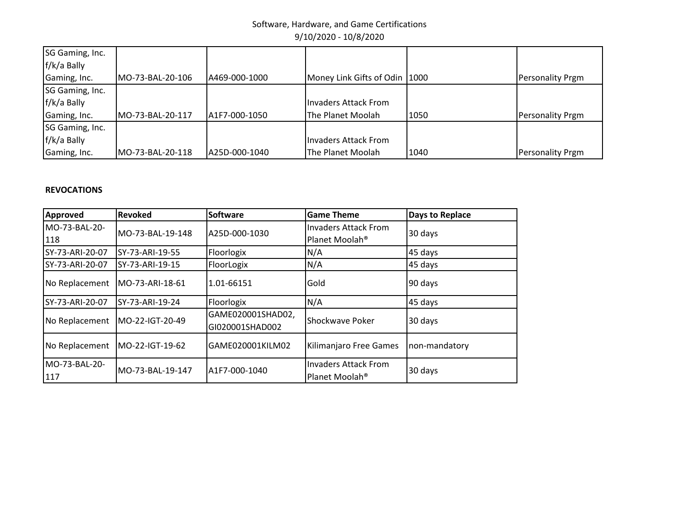| SG Gaming, Inc.<br>f/k/a Bally |                  |                |                                 |      |                         |
|--------------------------------|------------------|----------------|---------------------------------|------|-------------------------|
| Gaming, Inc.                   | MO-73-BAL-20-106 | IA469-000-1000 | Money Link Gifts of Odin   1000 |      | <b>Personality Prgm</b> |
| SG Gaming, Inc.                |                  |                |                                 |      |                         |
| f/k/a Bally                    |                  |                | Invaders Attack From            |      |                         |
| Gaming, Inc.                   | MO-73-BAL-20-117 | IA1F7-000-1050 | The Planet Moolah               | 1050 | <b>Personality Prgm</b> |
| SG Gaming, Inc.                |                  |                |                                 |      |                         |
| f/k/a Bally                    |                  |                | Invaders Attack From            |      |                         |
| Gaming, Inc.                   | MO-73-BAL-20-118 | A25D-000-1040  | The Planet Moolah               | 1040 | <b>Personality Prgm</b> |

# **REVOCATIONS**

| Approved             | <b>Revoked</b>   | <b>Software</b>                      | <b>Game Theme</b>                                         | Days to Replace |
|----------------------|------------------|--------------------------------------|-----------------------------------------------------------|-----------------|
| MO-73-BAL-20-        | MO-73-BAL-19-148 | A25D-000-1030                        | <b>Invaders Attack From</b>                               |                 |
| 118                  |                  |                                      | Planet Moolah <sup>®</sup>                                | 30 days         |
| SY-73-ARI-20-07      | SY-73-ARI-19-55  | Floorlogix                           | N/A                                                       | 45 days         |
| SY-73-ARI-20-07      | SY-73-ARI-19-15  | FloorLogix                           | N/A                                                       | 45 days         |
| No Replacement       | MO-73-ARI-18-61  | 1.01-66151                           | Gold                                                      | 90 days         |
| SY-73-ARI-20-07      | SY-73-ARI-19-24  | Floorlogix                           | N/A                                                       | 45 days         |
| No Replacement       | MO-22-IGT-20-49  | GAME020001SHAD02,<br>GI020001SHAD002 | <b>Shockwave Poker</b>                                    | 30 days         |
| No Replacement       | MO-22-IGT-19-62  | GAME020001KILM02                     | Kilimanjaro Free Games                                    | non-mandatory   |
| MO-73-BAL-20-<br>117 | MO-73-BAL-19-147 | A1F7-000-1040                        | <b>Invaders Attack From</b><br>Planet Moolah <sup>®</sup> | 30 days         |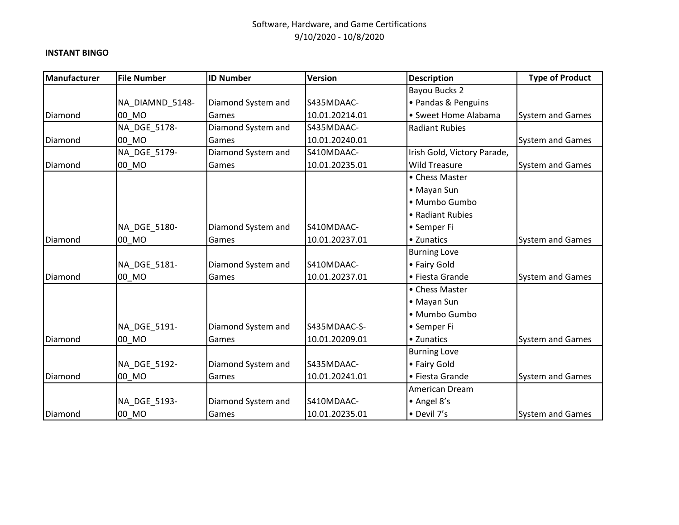#### **INSTANT BINGO**

| Manufacturer | <b>File Number</b> | <b>ID Number</b>   | <b>Version</b> | <b>Description</b>          | <b>Type of Product</b>  |
|--------------|--------------------|--------------------|----------------|-----------------------------|-------------------------|
|              |                    |                    |                | Bayou Bucks 2               |                         |
|              | NA_DIAMND_5148-    | Diamond System and | S435MDAAC-     | • Pandas & Penguins         |                         |
| Diamond      | 00 MO              | Games              | 10.01.20214.01 | • Sweet Home Alabama        | System and Games        |
|              | NA DGE 5178-       | Diamond System and | S435MDAAC-     | <b>Radiant Rubies</b>       |                         |
| Diamond      | 00 MO              | Games              | 10.01.20240.01 |                             | System and Games        |
|              | NA DGE 5179-       | Diamond System and | S410MDAAC-     | Irish Gold, Victory Parade, |                         |
| Diamond      | 00_MO              | Games              | 10.01.20235.01 | <b>Wild Treasure</b>        | <b>System and Games</b> |
|              |                    |                    |                | • Chess Master              |                         |
|              |                    |                    |                | • Mayan Sun                 |                         |
|              |                    |                    |                | · Mumbo Gumbo               |                         |
|              |                    |                    |                | • Radiant Rubies            |                         |
|              | NA_DGE_5180-       | Diamond System and | S410MDAAC-     | • Semper Fi                 |                         |
| Diamond      | 00 MO              | Games              | 10.01.20237.01 | • Zunatics                  | System and Games        |
|              |                    |                    |                | <b>Burning Love</b>         |                         |
|              | NA_DGE_5181-       | Diamond System and | S410MDAAC-     | • Fairy Gold                |                         |
| Diamond      | 00_MO              | Games              | 10.01.20237.01 | • Fiesta Grande             | <b>System and Games</b> |
|              |                    |                    |                | • Chess Master              |                         |
|              |                    |                    |                | • Mayan Sun                 |                         |
|              |                    |                    |                | · Mumbo Gumbo               |                         |
|              | NA_DGE_5191-       | Diamond System and | S435MDAAC-S-   | • Semper Fi                 |                         |
| Diamond      | 00 MO              | Games              | 10.01.20209.01 | • Zunatics                  | <b>System and Games</b> |
|              |                    |                    |                | <b>Burning Love</b>         |                         |
|              | NA_DGE_5192-       | Diamond System and | S435MDAAC-     | • Fairy Gold                |                         |
| Diamond      | 00 MO              | Games              | 10.01.20241.01 | • Fiesta Grande             | <b>System and Games</b> |
|              |                    |                    |                | American Dream              |                         |
|              | NA DGE 5193-       | Diamond System and | S410MDAAC-     | • Angel 8's                 |                         |
| Diamond      | 00 MO              | Games              | 10.01.20235.01 | • Devil 7's                 | <b>System and Games</b> |